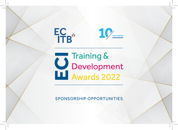

**YEAR AWARDS ANNIVERSARY**

# Training &<br>Development<br>LL Awards 2022

SPONSORSHIP OPPORTUNITIES

ecitb.org.uk/eci-awards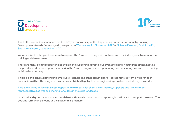



The ECITB is proud to announce that the 10<sup>th</sup> year anniversary of the Engineering Construction Industry Training  $\&$ Development Awards Ceremony will take place on Wednesday, 2<sup>nd</sup> November 2022 at Science Museum, Exhibition Rd, South Kensington, London SW7 2DD.

We would like to offer you the chance to support the Awards evening which will celebrate the industry's achievements in training and development.

There are many exciting opportunities available to support this prestigious event including; hosting the dinner, hosting the pre-dinner drinks reception, sponsoring the Awards Programme, or sponsoring and presenting an award to a winning individual or company.

This is a significant event for both employers, learners and other stakeholders. Representatives from a wide range of companies will be attending what is now an established highlight in the engineering construction industry's calendar.

#### This event gives an ideal business opportunity to meet with clients, contractors, suppliers and l government representatives as well as other stakeholders in the skills landscape.

Individual and group tickets are also available for those who do not wish to sponsor, but still want to support the event. The booking forms can be found at the back of this brochure.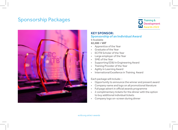# Sponsorship Packages





#### **KEY SPONSOR: Sponsorship of an Individual Award**

9 Available

#### **£2,500 + VAT**

- Apprentice of the Year
- Graduate of the Year
- ECITB Scholar of the Year
- Large employer of the Year
- SME of the Year
- Supporting ED&I in Engineering Award
- Training Provider of the Year
- Agility in Learning Award
- International Excellence in Training Award

Each package will include: -

- Opportunity to announce the winner and present award
- Company name and logo on all promotional literature
- Full page advert in official awards programme
- 2 complimentary tickets for the dinner with the option to buy additional individual tickets
- Company logo on-screen during dinner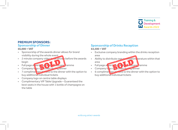

#### **PREMIUM SPONSORS: Sponsorship of Dinner**

#### **£6,000 + VAT**

- Sponsorship of the awards dinner allows for brand visibility during the whole event
- 2 minute company video to  $\epsilon$  shown before the awards begin
- Full page a wert in official wards programme
- Company logo on creen during dinner
- 7 complimentary tickets to the dinner with the option to buy additional individual tickets
- Company logo on centre table displays
- Complimentary VIP Table Upgrade Guaranteed the best seats in the house with 1 bottle of champagne on the table

#### **Sponsorship of Drinks Reception £4,500 + VAT**

- Exclusive company branding within the drinks reception area
- Ability to distribute own promotion terature within that area
- Full page at vert in official and awards programme
- Company logo on screen during dinner
- 6 complimentary time is to the dinner with the option to buy additional individual tickets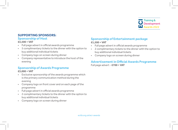

#### **SUPPORTING SPONSORS: Sponsorship of Host**

#### **£3,500 + VAT**

- Full page advert in official awards programme
- 5 complimentary tickets to the dinner with the option to buy additional individual tickets
- Company logo on screen during dinner
- Company representative to introduce the host of the evening

### **Sponsorship of Awards Programme**

#### **£3,000 + VAT**

- Exclusive sponsorship of the awards programme which is the primary communication method during the evening
- Company logo on front cover and on each page of the programme
- Full page advert in official awards programme
- 2 complimentary tickets to the dinner with the option to buy additional individual tickets
- Company logo on screen during dinner

#### **Sponsorship of Entertainment package £1,500 + VAT**

- Full page advert in official awards programme
- 2 complimentary tickets to the dinner with the option to buy additional individual tickets
- Company logo on screen during dinner

## **Advertisement in Official Awards Programme**

Full page advert - **£700 + VAT**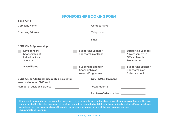# **SPONSORSHIP BOOKING FORM**

| <b>SECTION 1</b>                                                                  |                                                                  |                                                                                       |
|-----------------------------------------------------------------------------------|------------------------------------------------------------------|---------------------------------------------------------------------------------------|
| <b>Company Name</b>                                                               | <b>Contact Name</b>                                              |                                                                                       |
| <b>Company Address</b>                                                            | Telephone                                                        |                                                                                       |
|                                                                                   | Email                                                            |                                                                                       |
| <b>SECTION 2: Sponsorship</b>                                                     |                                                                  |                                                                                       |
| Key Sponsor:<br>Sponsorship of<br><b>Individual Award</b><br>Sponsor              | <b>Supporting Sponsor:</b><br>Sponsorship of Host                | <b>Supporting Sponsor:</b><br>Advertisement in<br><b>Official Awards</b><br>Programme |
| <b>Award Name:</b>                                                                | <b>Supporting Sponsor:</b><br>Sponsorship of<br>Awards Programme | <b>Supporting Sponsor:</b><br>Sponsorship of<br>Entertainment                         |
| <b>SECTION 3: Additional discounted tickets for</b><br>awards dinner at £140 each | <b>SECTION 4: Payment</b>                                        |                                                                                       |
| Number of additional tickets                                                      | Total amount £                                                   |                                                                                       |
|                                                                                   | <b>Purchase Order Number</b>                                     |                                                                                       |

Please confirm your chosen sponsorship opportunities by ticking the relevant package above. Please also confirm whether you require any further tickets. On receipt of this form you will be contacted with full details and guided deadlines. Please send your completed form to: rsvpawards@ecitb.org.uk. For further information on any of the above please contact rsvpawards@ecitb.org.uk.

ecitb.org.uk/eci-awards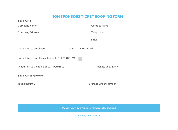# **NON SPONSORS TICKET BOOKING FORM**

and the company of the

| <b>SECTION 1</b>                                                                                                                        |                                                                                                             |  |
|-----------------------------------------------------------------------------------------------------------------------------------------|-------------------------------------------------------------------------------------------------------------|--|
| Company Name<br><u> 1980 - Johann Barbara, martxa alemaniar a</u>                                                                       | <b>Contact Name</b>                                                                                         |  |
| <b>Company Address</b><br><u> 1989 - Johann Barn, amerikansk politiker (</u>                                                            | Telephone<br>and the state of the state of the state of the state of the state of the state of the state of |  |
| <u> 1989 - Johann Barn, fransk politik amerikansk politik (</u>                                                                         | Email<br>the control of the control of the control of the control of the control of                         |  |
|                                                                                                                                         |                                                                                                             |  |
| I would like to purchase a table of 10 at £1400+ VAT                                                                                    |                                                                                                             |  |
| In addition to the table of 10, I would like                                                                                            | tickets at £160 + VAT                                                                                       |  |
| <b>SECTION 2: Payment</b>                                                                                                               |                                                                                                             |  |
| Total amount £<br><u> 1980 - Johann Barn, mars eta inperiodor eta inperiodor eta inperiodor eta inperiodor eta inperiodor eta inper</u> | Purchase Order Number                                                                                       |  |

Please return by email to : rsvpawards@ecitb.org.uk

ecitb.org.uk/eci-awards